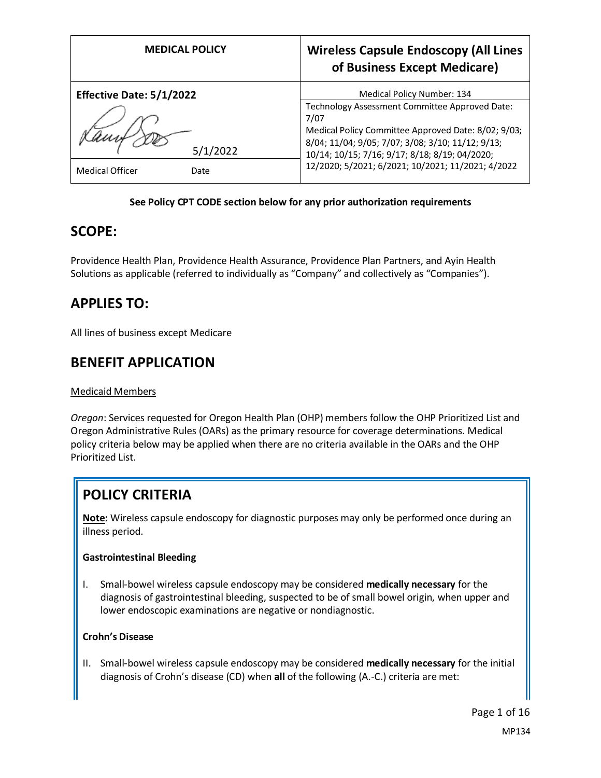| <b>MEDICAL POLICY</b>           | <b>Wireless Capsule Endoscopy (All Lines</b><br>of Business Except Medicare)                             |
|---------------------------------|----------------------------------------------------------------------------------------------------------|
| <b>Effective Date: 5/1/2022</b> | Medical Policy Number: 134                                                                               |
|                                 | Technology Assessment Committee Approved Date:                                                           |
|                                 | 7/07                                                                                                     |
|                                 | Medical Policy Committee Approved Date: 8/02; 9/03;<br>8/04; 11/04; 9/05; 7/07; 3/08; 3/10; 11/12; 9/13; |
| 5/1/2022                        | 10/14; 10/15; 7/16; 9/17; 8/18; 8/19; 04/2020;                                                           |
| <b>Medical Officer</b><br>Date  | 12/2020; 5/2021; 6/2021; 10/2021; 11/2021; 4/2022                                                        |

#### **See Policy CPT CODE section below for any prior authorization requirements**

## **SCOPE:**

Providence Health Plan, Providence Health Assurance, Providence Plan Partners, and Ayin Health Solutions as applicable (referred to individually as "Company" and collectively as "Companies").

# **APPLIES TO:**

All lines of business except Medicare

## **BENEFIT APPLICATION**

#### Medicaid Members

*Oregon*: Services requested for Oregon Health Plan (OHP) members follow the OHP Prioritized List and Oregon Administrative Rules (OARs) as the primary resource for coverage determinations. Medical policy criteria below may be applied when there are no criteria available in the OARs and the OHP Prioritized List.

# **POLICY CRITERIA**

**Note:** Wireless capsule endoscopy for diagnostic purposes may only be performed once during an illness period.

#### **Gastrointestinal Bleeding**

I. Small-bowel wireless capsule endoscopy may be considered **medically necessary** for the diagnosis of gastrointestinal bleeding, suspected to be of small bowel origin, when upper and lower endoscopic examinations are negative or nondiagnostic.

#### **Crohn's Disease**

II. Small-bowel wireless capsule endoscopy may be considered **medically necessary** for the initial diagnosis of Crohn's disease (CD) when **all** of the following (A.-C.) criteria are met: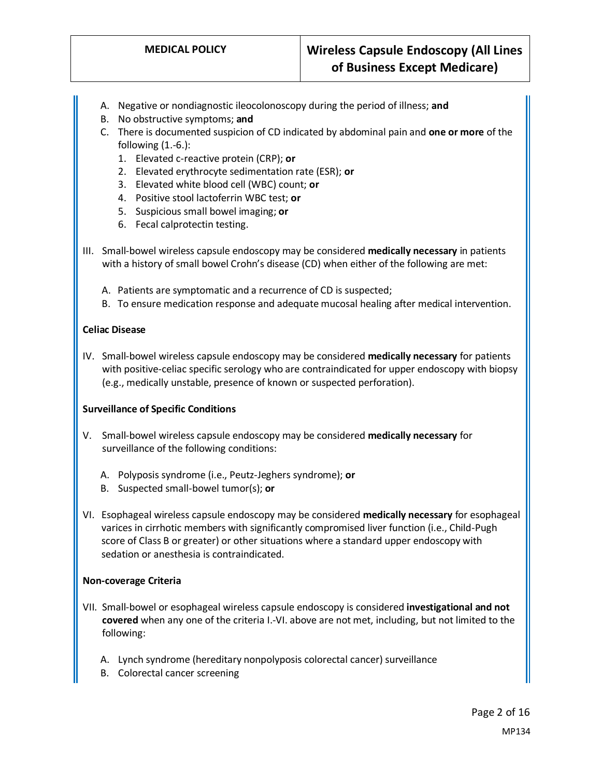- A. Negative or nondiagnostic ileocolonoscopy during the period of illness; **and**
- B. No obstructive symptoms; **and**
- C. There is documented suspicion of CD indicated by abdominal pain and **one or more** of the following (1.-6.):
	- 1. Elevated c-reactive protein (CRP); **or**
	- 2. Elevated erythrocyte sedimentation rate (ESR); **or**
	- 3. Elevated white blood cell (WBC) count; **or**
	- 4. Positive stool lactoferrin WBC test; **or**
	- 5. Suspicious small bowel imaging; **or**
	- 6. Fecal calprotectin testing.
- III. Small-bowel wireless capsule endoscopy may be considered **medically necessary** in patients with a history of small bowel Crohn's disease (CD) when either of the following are met:
	- A. Patients are symptomatic and a recurrence of CD is suspected;
	- B. To ensure medication response and adequate mucosal healing after medical intervention.

#### **Celiac Disease**

IV. Small-bowel wireless capsule endoscopy may be considered **medically necessary** for patients with positive-celiac specific serology who are contraindicated for upper endoscopy with biopsy (e.g., medically unstable, presence of known or suspected perforation).

#### **Surveillance of Specific Conditions**

- V. Small-bowel wireless capsule endoscopy may be considered **medically necessary** for surveillance of the following conditions:
	- A. Polyposis syndrome (i.e., Peutz-Jeghers syndrome); **or**
	- B. Suspected small-bowel tumor(s); **or**
- VI. Esophageal wireless capsule endoscopy may be considered **medically necessary** for esophageal varices in cirrhotic members with significantly compromised liver function (i.e., Child-Pugh score of Class B or greater) or other situations where a standard upper endoscopy with sedation or anesthesia is contraindicated.

#### **Non-coverage Criteria**

- VII. Small-bowel or esophageal wireless capsule endoscopy is considered **investigational and not covered** when any one of the criteria I.-VI. above are not met, including, but not limited to the following:
	- A. Lynch syndrome (hereditary nonpolyposis colorectal cancer) surveillance
	- B. Colorectal cancer screening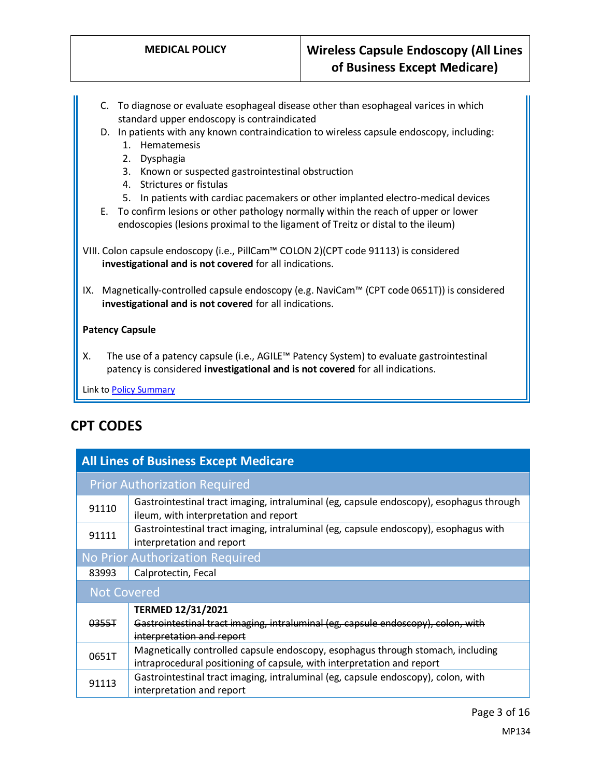- C. To diagnose or evaluate esophageal disease other than esophageal varices in which standard upper endoscopy is contraindicated
- D. In patients with any known contraindication to wireless capsule endoscopy, including:
	- 1. Hematemesis
	- 2. Dysphagia
	- 3. Known or suspected gastrointestinal obstruction
	- 4. Strictures or fistulas
	- 5. In patients with cardiac pacemakers or other implanted electro-medical devices
- E. To confirm lesions or other pathology normally within the reach of upper or lower endoscopies (lesions proximal to the ligament of Treitz or distal to the ileum)
- VIII. Colon capsule endoscopy (i.e., PillCam™ COLON 2)(CPT code 91113) is considered **investigational and is not covered** for all indications.
- IX. Magnetically-controlled capsule endoscopy (e.g. NaviCam™ (CPT code 0651T)) is considered **investigational and is not covered** for all indications.

#### **Patency Capsule**

X. The use of a patency capsule (i.e., AGILE™ Patency System) to evaluate gastrointestinal patency is considered **investigational and is not covered** for all indications.

Link t[o Policy Summary](#page-11-0)

# **CPT CODES**

| <b>All Lines of Business Except Medicare</b> |                                                                                                                                                           |
|----------------------------------------------|-----------------------------------------------------------------------------------------------------------------------------------------------------------|
| <b>Prior Authorization Required</b>          |                                                                                                                                                           |
| 91110                                        | Gastrointestinal tract imaging, intraluminal (eg, capsule endoscopy), esophagus through<br>ileum, with interpretation and report                          |
| 91111                                        | Gastrointestinal tract imaging, intraluminal (eg, capsule endoscopy), esophagus with<br>interpretation and report                                         |
| No Prior Authorization Required              |                                                                                                                                                           |
| 83993                                        | Calprotectin, Fecal                                                                                                                                       |
| <b>Not Covered</b>                           |                                                                                                                                                           |
|                                              | <b>TERMED 12/31/2021</b>                                                                                                                                  |
| 0355T                                        | Gastrointestinal tract imaging, intraluminal (eg, capsule endoscopy), colon, with<br>interpretation and report                                            |
| 0651T                                        | Magnetically controlled capsule endoscopy, esophagus through stomach, including<br>intraprocedural positioning of capsule, with interpretation and report |
| 91113                                        | Gastrointestinal tract imaging, intraluminal (eg, capsule endoscopy), colon, with<br>interpretation and report                                            |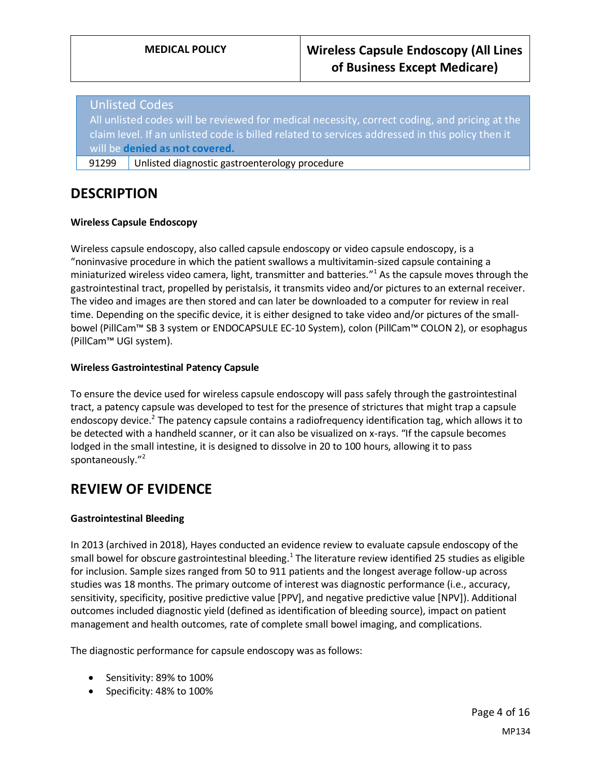### Unlisted Codes

All unlisted codes will be reviewed for medical necessity, correct coding, and pricing at the claim level. If an unlisted code is billed related to services addressed in this policy then it will be **denied as not covered.**

91299 Unlisted diagnostic gastroenterology procedure

## **DESCRIPTION**

#### **Wireless Capsule Endoscopy**

Wireless capsule endoscopy, also called capsule endoscopy or video capsule endoscopy, is a "noninvasive procedure in which the patient swallows a multivitamin-sized capsule containing a miniaturized wireless video camera, light, transmitter and batteries." <sup>1</sup> As the capsule moves through the gastrointestinal tract, propelled by peristalsis, it transmits video and/or pictures to an external receiver. The video and images are then stored and can later be downloaded to a computer for review in real time. Depending on the specific device, it is either designed to take video and/or pictures of the smallbowel (PillCam™ SB 3 system or ENDOCAPSULE EC-10 System), colon (PillCam™ COLON 2), or esophagus (PillCam™ UGI system).

#### **Wireless Gastrointestinal Patency Capsule**

To ensure the device used for wireless capsule endoscopy will pass safely through the gastrointestinal tract, a patency capsule was developed to test for the presence of strictures that might trap a capsule endoscopy device.<sup>2</sup> The patency capsule contains a radiofrequency identification tag, which allows it to be detected with a handheld scanner, or it can also be visualized on x-rays. "If the capsule becomes lodged in the small intestine, it is designed to dissolve in 20 to 100 hours, allowing it to pass spontaneously." 2

## **REVIEW OF EVIDENCE**

#### **Gastrointestinal Bleeding**

In 2013 (archived in 2018), Hayes conducted an evidence review to evaluate capsule endoscopy of the small bowel for obscure gastrointestinal bleeding.<sup>1</sup> The literature review identified 25 studies as eligible for inclusion. Sample sizes ranged from 50 to 911 patients and the longest average follow-up across studies was 18 months. The primary outcome of interest was diagnostic performance (i.e., accuracy, sensitivity, specificity, positive predictive value [PPV], and negative predictive value [NPV]). Additional outcomes included diagnostic yield (defined as identification of bleeding source), impact on patient management and health outcomes, rate of complete small bowel imaging, and complications.

The diagnostic performance for capsule endoscopy was as follows:

- Sensitivity: 89% to 100%
- Specificity: 48% to 100%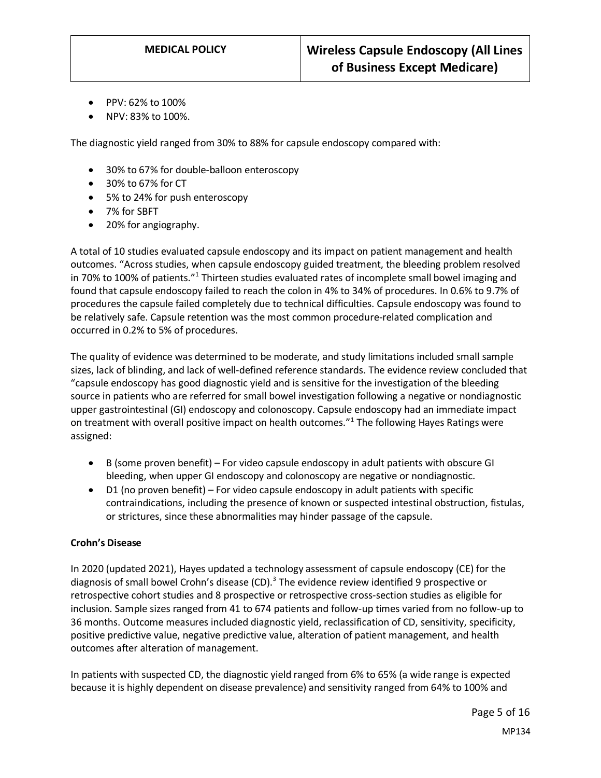- PPV: 62% to 100%
- NPV: 83% to 100%.

The diagnostic yield ranged from 30% to 88% for capsule endoscopy compared with:

- 30% to 67% for double-balloon enteroscopy
- 30% to 67% for CT
- 5% to 24% for push enteroscopy
- 7% for SBFT
- 20% for angiography.

A total of 10 studies evaluated capsule endoscopy and its impact on patient management and health outcomes. "Across studies, when capsule endoscopy guided treatment, the bleeding problem resolved in 70% to 100% of patients."<sup>1</sup> Thirteen studies evaluated rates of incomplete small bowel imaging and found that capsule endoscopy failed to reach the colon in 4% to 34% of procedures. In 0.6% to 9.7% of procedures the capsule failed completely due to technical difficulties. Capsule endoscopy was found to be relatively safe. Capsule retention was the most common procedure-related complication and occurred in 0.2% to 5% of procedures.

The quality of evidence was determined to be moderate, and study limitations included small sample sizes, lack of blinding, and lack of well-defined reference standards. The evidence review concluded that "capsule endoscopy has good diagnostic yield and is sensitive for the investigation of the bleeding source in patients who are referred for small bowel investigation following a negative or nondiagnostic upper gastrointestinal (GI) endoscopy and colonoscopy. Capsule endoscopy had an immediate impact on treatment with overall positive impact on health outcomes."<sup>1</sup> The following Hayes Ratings were assigned:

- B (some proven benefit) For video capsule endoscopy in adult patients with obscure GI bleeding, when upper GI endoscopy and colonoscopy are negative or nondiagnostic.
- D1 (no proven benefit) For video capsule endoscopy in adult patients with specific contraindications, including the presence of known or suspected intestinal obstruction, fistulas, or strictures, since these abnormalities may hinder passage of the capsule.

#### **Crohn's Disease**

In 2020 (updated 2021), Hayes updated a technology assessment of capsule endoscopy (CE) for the diagnosis of small bowel Crohn's disease (CD).<sup>3</sup> The evidence review identified 9 prospective or retrospective cohort studies and 8 prospective or retrospective cross-section studies as eligible for inclusion. Sample sizes ranged from 41 to 674 patients and follow-up times varied from no follow-up to 36 months. Outcome measures included diagnostic yield, reclassification of CD, sensitivity, specificity, positive predictive value, negative predictive value, alteration of patient management, and health outcomes after alteration of management.

In patients with suspected CD, the diagnostic yield ranged from 6% to 65% (a wide range is expected because it is highly dependent on disease prevalence) and sensitivity ranged from 64% to 100% and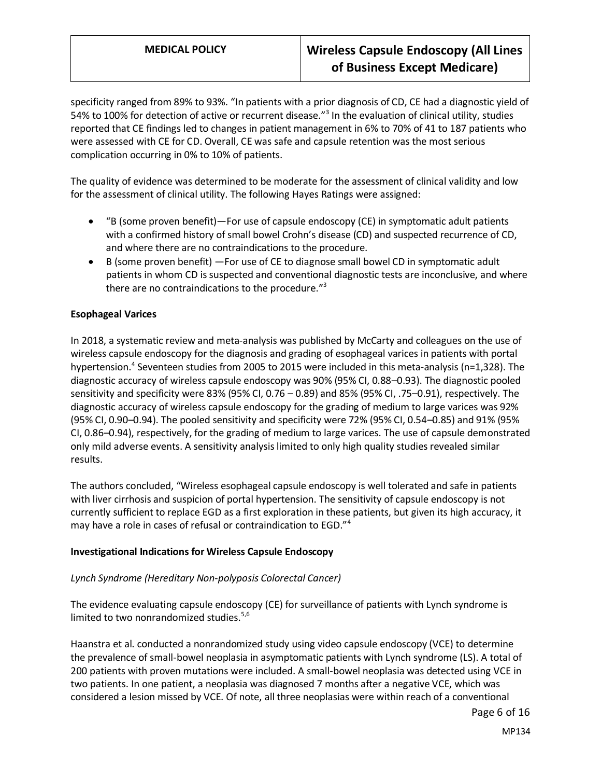# **MEDICAL POLICY Wireless Capsule Endoscopy (All Lines of Business Except Medicare)**

specificity ranged from 89% to 93%. "In patients with a prior diagnosis of CD, CE had a diagnostic yield of 54% to 100% for detection of active or recurrent disease."<sup>3</sup> In the evaluation of clinical utility, studies reported that CE findings led to changes in patient management in 6% to 70% of 41 to 187 patients who were assessed with CE for CD. Overall, CE was safe and capsule retention was the most serious complication occurring in 0% to 10% of patients.

The quality of evidence was determined to be moderate for the assessment of clinical validity and low for the assessment of clinical utility. The following Hayes Ratings were assigned:

- "B (some proven benefit)—For use of capsule endoscopy (CE) in symptomatic adult patients with a confirmed history of small bowel Crohn's disease (CD) and suspected recurrence of CD, and where there are no contraindications to the procedure.
- B (some proven benefit) —For use of CE to diagnose small bowel CD in symptomatic adult patients in whom CD is suspected and conventional diagnostic tests are inconclusive, and where there are no contraindications to the procedure."<sup>3</sup>

#### **Esophageal Varices**

In 2018, a systematic review and meta-analysis was published by McCarty and colleagues on the use of wireless capsule endoscopy for the diagnosis and grading of esophageal varices in patients with portal hypertension.<sup>4</sup> Seventeen studies from 2005 to 2015 were included in this meta-analysis (n=1,328). The diagnostic accuracy of wireless capsule endoscopy was 90% (95% CI, 0.88–0.93). The diagnostic pooled sensitivity and specificity were 83% (95% CI, 0.76 – 0.89) and 85% (95% CI, .75–0.91), respectively. The diagnostic accuracy of wireless capsule endoscopy for the grading of medium to large varices was 92% (95% CI, 0.90–0.94). The pooled sensitivity and specificity were 72% (95% CI, 0.54–0.85) and 91% (95% CI, 0.86–0.94), respectively, for the grading of medium to large varices. The use of capsule demonstrated only mild adverse events. A sensitivity analysis limited to only high quality studies revealed similar results.

The authors concluded, "Wireless esophageal capsule endoscopy is well tolerated and safe in patients with liver cirrhosis and suspicion of portal hypertension. The sensitivity of capsule endoscopy is not currently sufficient to replace EGD as a first exploration in these patients, but given its high accuracy, it may have a role in cases of refusal or contraindication to EGD."<sup>4</sup>

#### **Investigational Indications for Wireless Capsule Endoscopy**

#### *Lynch Syndrome (Hereditary Non-polyposis Colorectal Cancer)*

The evidence evaluating capsule endoscopy (CE) for surveillance of patients with Lynch syndrome is limited to two nonrandomized studies. $5.6$ 

Haanstra et al. conducted a nonrandomized study using video capsule endoscopy (VCE) to determine the prevalence of small-bowel neoplasia in asymptomatic patients with Lynch syndrome (LS). A total of 200 patients with proven mutations were included. A small-bowel neoplasia was detected using VCE in two patients. In one patient, a neoplasia was diagnosed 7 months after a negative VCE, which was considered a lesion missed by VCE. Of note, all three neoplasias were within reach of a conventional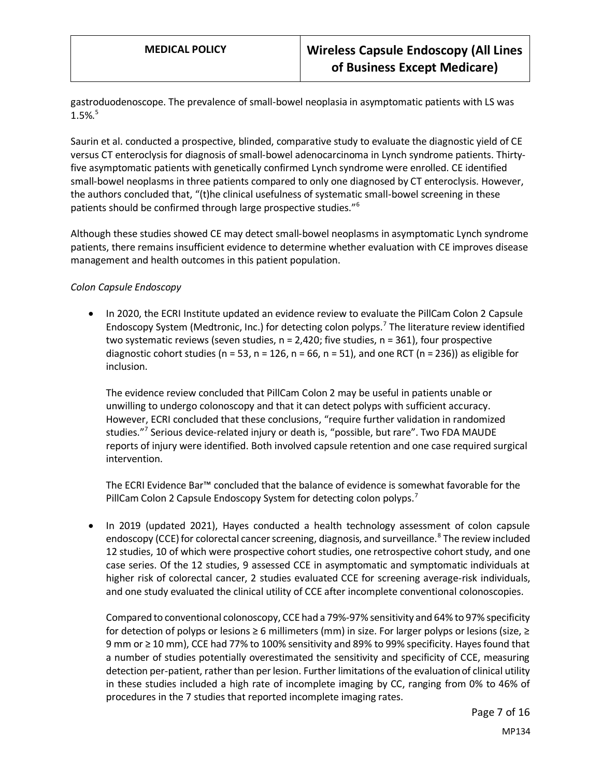gastroduodenoscope. The prevalence of small-bowel neoplasia in asymptomatic patients with LS was  $1.5\%$ <sup>5</sup>

Saurin et al. conducted a prospective, blinded, comparative study to evaluate the diagnostic yield of CE versus CT enteroclysis for diagnosis of small-bowel adenocarcinoma in Lynch syndrome patients. Thirtyfive asymptomatic patients with genetically confirmed Lynch syndrome were enrolled. CE identified small-bowel neoplasms in three patients compared to only one diagnosed by CT enteroclysis. However, the authors concluded that, "(t)he clinical usefulness of systematic small-bowel screening in these patients should be confirmed through large prospective studies."<sup>6</sup>

Although these studies showed CE may detect small-bowel neoplasms in asymptomatic Lynch syndrome patients, there remains insufficient evidence to determine whether evaluation with CE improves disease management and health outcomes in this patient population.

#### *Colon Capsule Endoscopy*

• In 2020, the ECRI Institute updated an evidence review to evaluate the PillCam Colon 2 Capsule Endoscopy System (Medtronic, Inc.) for detecting colon polyps.<sup>7</sup> The literature review identified two systematic reviews (seven studies,  $n = 2,420$ ; five studies,  $n = 361$ ), four prospective diagnostic cohort studies ( $n = 53$ ,  $n = 126$ ,  $n = 66$ ,  $n = 51$ ), and one RCT ( $n = 236$ )) as eligible for inclusion.

The evidence review concluded that PillCam Colon 2 may be useful in patients unable or unwilling to undergo colonoscopy and that it can detect polyps with sufficient accuracy. However, ECRI concluded that these conclusions, "require further validation in randomized studies."<sup>7</sup> Serious device-related injury or death is, "possible, but rare". Two FDA MAUDE reports of injury were identified. Both involved capsule retention and one case required surgical intervention.

The ECRI Evidence Bar™ concluded that the balance of evidence is somewhat favorable for the PillCam Colon 2 Capsule Endoscopy System for detecting colon polyps.<sup>7</sup>

• In 2019 (updated 2021), Hayes conducted a health technology assessment of colon capsule endoscopy (CCE) for colorectal cancer screening, diagnosis, and surveillance.<sup>8</sup> The review included 12 studies, 10 of which were prospective cohort studies, one retrospective cohort study, and one case series. Of the 12 studies, 9 assessed CCE in asymptomatic and symptomatic individuals at higher risk of colorectal cancer, 2 studies evaluated CCE for screening average-risk individuals, and one study evaluated the clinical utility of CCE after incomplete conventional colonoscopies.

Compared to conventional colonoscopy, CCE had a 79%-97% sensitivity and 64% to 97% specificity for detection of polyps or lesions ≥ 6 millimeters (mm) in size. For larger polyps or lesions (size, ≥ 9 mm or ≥ 10 mm), CCE had 77% to 100% sensitivity and 89% to 99% specificity. Hayes found that a number of studies potentially overestimated the sensitivity and specificity of CCE, measuring detection per-patient, rather than per lesion. Further limitations of the evaluation of clinical utility in these studies included a high rate of incomplete imaging by CC, ranging from 0% to 46% of procedures in the 7 studies that reported incomplete imaging rates.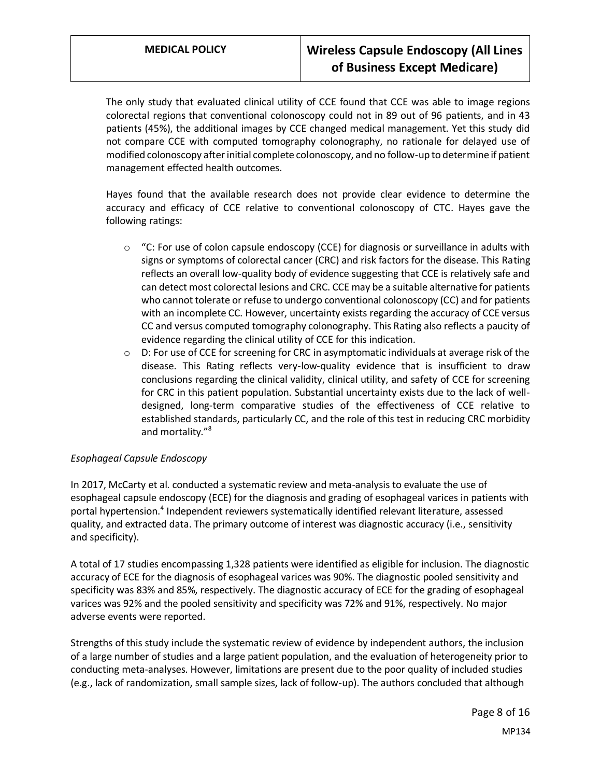The only study that evaluated clinical utility of CCE found that CCE was able to image regions colorectal regions that conventional colonoscopy could not in 89 out of 96 patients, and in 43 patients (45%), the additional images by CCE changed medical management. Yet this study did not compare CCE with computed tomography colonography, no rationale for delayed use of modified colonoscopy after initial complete colonoscopy, and no follow-up to determine if patient management effected health outcomes.

Hayes found that the available research does not provide clear evidence to determine the accuracy and efficacy of CCE relative to conventional colonoscopy of CTC. Hayes gave the following ratings:

- $\circ$  "C: For use of colon capsule endoscopy (CCE) for diagnosis or surveillance in adults with signs or symptoms of colorectal cancer (CRC) and risk factors for the disease. This Rating reflects an overall low-quality body of evidence suggesting that CCE is relatively safe and can detect most colorectal lesions and CRC. CCE may be a suitable alternative for patients who cannot tolerate or refuse to undergo conventional colonoscopy (CC) and for patients with an incomplete CC. However, uncertainty exists regarding the accuracy of CCE versus CC and versus computed tomography colonography. This Rating also reflects a paucity of evidence regarding the clinical utility of CCE for this indication.
- $\circ$  D: For use of CCE for screening for CRC in asymptomatic individuals at average risk of the disease. This Rating reflects very-low-quality evidence that is insufficient to draw conclusions regarding the clinical validity, clinical utility, and safety of CCE for screening for CRC in this patient population. Substantial uncertainty exists due to the lack of welldesigned, long-term comparative studies of the effectiveness of CCE relative to established standards, particularly CC, and the role of this test in reducing CRC morbidity and mortality."<sup>8</sup>

#### *Esophageal Capsule Endoscopy*

In 2017, McCarty et al. conducted a systematic review and meta-analysis to evaluate the use of esophageal capsule endoscopy (ECE) for the diagnosis and grading of esophageal varices in patients with portal hypertension.<sup>4</sup> Independent reviewers systematically identified relevant literature, assessed quality, and extracted data. The primary outcome of interest was diagnostic accuracy (i.e., sensitivity and specificity).

A total of 17 studies encompassing 1,328 patients were identified as eligible for inclusion. The diagnostic accuracy of ECE for the diagnosis of esophageal varices was 90%. The diagnostic pooled sensitivity and specificity was 83% and 85%, respectively. The diagnostic accuracy of ECE for the grading of esophageal varices was 92% and the pooled sensitivity and specificity was 72% and 91%, respectively. No major adverse events were reported.

Strengths of this study include the systematic review of evidence by independent authors, the inclusion of a large number of studies and a large patient population, and the evaluation of heterogeneity prior to conducting meta-analyses. However, limitations are present due to the poor quality of included studies (e.g., lack of randomization, small sample sizes, lack of follow-up). The authors concluded that although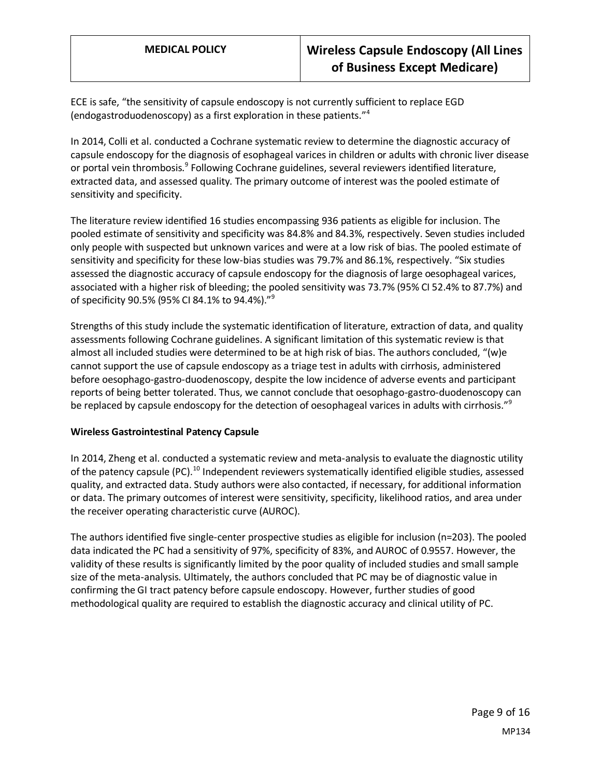ECE is safe, "the sensitivity of capsule endoscopy is not currently sufficient to replace EGD (endogastroduodenoscopy) as a first exploration in these patients."<sup>4</sup>

In 2014, Colli et al. conducted a Cochrane systematic review to determine the diagnostic accuracy of capsule endoscopy for the diagnosis of esophageal varices in children or adults with chronic liver disease or portal vein thrombosis.<sup>9</sup> Following Cochrane guidelines, several reviewers identified literature, extracted data, and assessed quality. The primary outcome of interest was the pooled estimate of sensitivity and specificity.

The literature review identified 16 studies encompassing 936 patients as eligible for inclusion. The pooled estimate of sensitivity and specificity was 84.8% and 84.3%, respectively. Seven studies included only people with suspected but unknown varices and were at a low risk of bias. The pooled estimate of sensitivity and specificity for these low-bias studies was 79.7% and 86.1%, respectively. "Six studies assessed the diagnostic accuracy of capsule endoscopy for the diagnosis of large oesophageal varices, associated with a higher risk of bleeding; the pooled sensitivity was 73.7% (95% CI 52.4% to 87.7%) and of specificity 90.5% (95% CI 84.1% to 94.4%)."<sup>9</sup>

Strengths of this study include the systematic identification of literature, extraction of data, and quality assessments following Cochrane guidelines. A significant limitation of this systematic review is that almost all included studies were determined to be at high risk of bias. The authors concluded, "(w)e cannot support the use of capsule endoscopy as a triage test in adults with cirrhosis, administered before oesophago-gastro-duodenoscopy, despite the low incidence of adverse events and participant reports of being better tolerated. Thus, we cannot conclude that oesophago-gastro-duodenoscopy can be replaced by capsule endoscopy for the detection of oesophageal varices in adults with cirrhosis."<sup>9</sup>

#### **Wireless Gastrointestinal Patency Capsule**

In 2014, Zheng et al. conducted a systematic review and meta-analysis to evaluate the diagnostic utility of the patency capsule (PC).<sup>10</sup> Independent reviewers systematically identified eligible studies, assessed quality, and extracted data. Study authors were also contacted, if necessary, for additional information or data. The primary outcomes of interest were sensitivity, specificity, likelihood ratios, and area under the receiver operating characteristic curve (AUROC).

The authors identified five single-center prospective studies as eligible for inclusion (n=203). The pooled data indicated the PC had a sensitivity of 97%, specificity of 83%, and AUROC of 0.9557. However, the validity of these results is significantly limited by the poor quality of included studies and small sample size of the meta-analysis. Ultimately, the authors concluded that PC may be of diagnostic value in confirming the GI tract patency before capsule endoscopy. However, further studies of good methodological quality are required to establish the diagnostic accuracy and clinical utility of PC.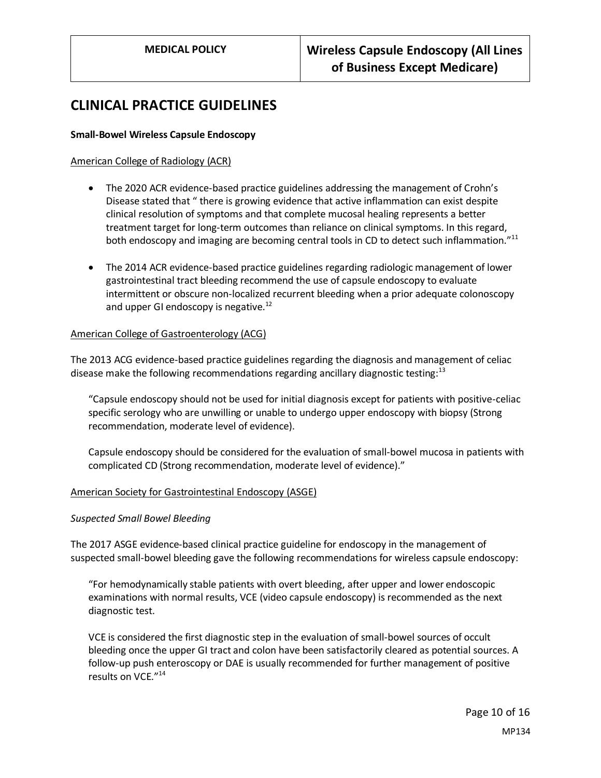## **CLINICAL PRACTICE GUIDELINES**

#### **Small-Bowel Wireless Capsule Endoscopy**

#### American College of Radiology (ACR)

- The 2020 ACR evidence-based practice guidelines addressing the management of Crohn's Disease stated that " there is growing evidence that active inflammation can exist despite clinical resolution of symptoms and that complete mucosal healing represents a better treatment target for long-term outcomes than reliance on clinical symptoms. In this regard, both endoscopy and imaging are becoming central tools in CD to detect such inflammation."<sup>11</sup>
- The 2014 ACR evidence-based practice guidelines regarding radiologic management of lower gastrointestinal tract bleeding recommend the use of capsule endoscopy to evaluate intermittent or obscure non-localized recurrent bleeding when a prior adequate colonoscopy and upper GI endoscopy is negative. $^{12}$

#### American College of Gastroenterology (ACG)

The 2013 ACG evidence-based practice guidelines regarding the diagnosis and management of celiac disease make the following recommendations regarding ancillary diagnostic testing: $13$ 

"Capsule endoscopy should not be used for initial diagnosis except for patients with positive-celiac specific serology who are unwilling or unable to undergo upper endoscopy with biopsy (Strong recommendation, moderate level of evidence).

Capsule endoscopy should be considered for the evaluation of small-bowel mucosa in patients with complicated CD (Strong recommendation, moderate level of evidence)."

#### American Society for Gastrointestinal Endoscopy (ASGE)

#### *Suspected Small Bowel Bleeding*

The 2017 ASGE evidence-based clinical practice guideline for endoscopy in the management of suspected small-bowel bleeding gave the following recommendations for wireless capsule endoscopy:

"For hemodynamically stable patients with overt bleeding, after upper and lower endoscopic examinations with normal results, VCE (video capsule endoscopy) is recommended as the next diagnostic test.

VCE is considered the first diagnostic step in the evaluation of small-bowel sources of occult bleeding once the upper GI tract and colon have been satisfactorily cleared as potential sources. A follow-up push enteroscopy or DAE is usually recommended for further management of positive results on VCE."<sup>14</sup>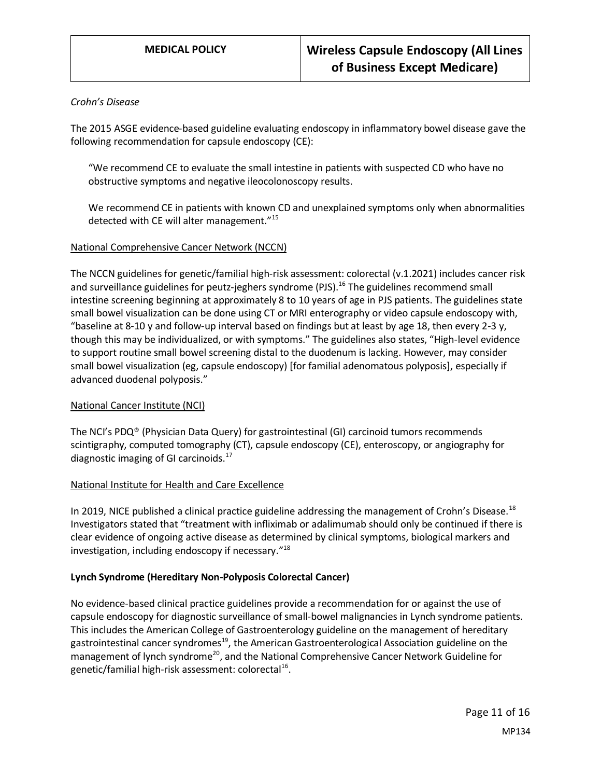#### *Crohn's Disease*

The 2015 ASGE evidence-based guideline evaluating endoscopy in inflammatory bowel disease gave the following recommendation for capsule endoscopy (CE):

"We recommend CE to evaluate the small intestine in patients with suspected CD who have no obstructive symptoms and negative ileocolonoscopy results.

We recommend CE in patients with known CD and unexplained symptoms only when abnormalities detected with CE will alter management."<sup>15</sup>

#### National Comprehensive Cancer Network (NCCN)

The NCCN guidelines for genetic/familial high-risk assessment: colorectal (v.1.2021) includes cancer risk and surveillance guidelines for peutz-jeghers syndrome (PJS).<sup>16</sup> The guidelines recommend small intestine screening beginning at approximately 8 to 10 years of age in PJS patients. The guidelines state small bowel visualization can be done using CT or MRI enterography or video capsule endoscopy with, "baseline at 8-10 y and follow-up interval based on findings but at least by age 18, then every 2-3 y, though this may be individualized, or with symptoms." The guidelines also states, "High-level evidence to support routine small bowel screening distal to the duodenum is lacking. However, may consider small bowel visualization (eg, capsule endoscopy) [for familial adenomatous polyposis], especially if advanced duodenal polyposis."

#### National Cancer Institute (NCI)

The NCI's PDQ® (Physician Data Query) for gastrointestinal (GI) carcinoid tumors recommends scintigraphy, computed tomography (CT), capsule endoscopy (CE), enteroscopy, or angiography for diagnostic imaging of GI carcinoids.<sup>17</sup>

#### National Institute for Health and Care Excellence

In 2019, NICE published a clinical practice guideline addressing the management of Crohn's Disease.<sup>18</sup> Investigators stated that "treatment with infliximab or adalimumab should only be continued if there is clear evidence of ongoing active disease as determined by clinical symptoms, biological markers and investigation, including endoscopy if necessary."<sup>18</sup>

#### **Lynch Syndrome (Hereditary Non-Polyposis Colorectal Cancer)**

No evidence-based clinical practice guidelines provide a recommendation for or against the use of capsule endoscopy for diagnostic surveillance of small-bowel malignancies in Lynch syndrome patients. This includes the American College of Gastroenterology guideline on the management of hereditary gastrointestinal cancer syndromes<sup>19</sup>, the American Gastroenterological Association guideline on the management of lynch syndrome<sup>20</sup>, and the National Comprehensive Cancer Network Guideline for genetic/familial high-risk assessment: colorectal<sup>16</sup>.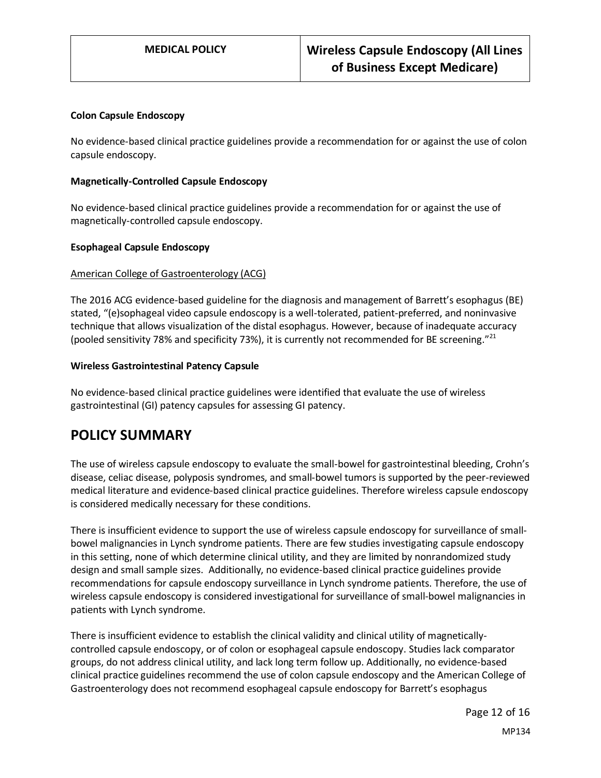#### **Colon Capsule Endoscopy**

No evidence-based clinical practice guidelines provide a recommendation for or against the use of colon capsule endoscopy.

#### **Magnetically-Controlled Capsule Endoscopy**

No evidence-based clinical practice guidelines provide a recommendation for or against the use of magnetically-controlled capsule endoscopy.

#### **Esophageal Capsule Endoscopy**

#### American College of Gastroenterology (ACG)

The 2016 ACG evidence-based guideline for the diagnosis and management of Barrett's esophagus (BE) stated, "(e)sophageal video capsule endoscopy is a well-tolerated, patient-preferred, and noninvasive technique that allows visualization of the distal esophagus. However, because of inadequate accuracy (pooled sensitivity 78% and specificity 73%), it is currently not recommended for BE screening."<sup>21</sup>

#### **Wireless Gastrointestinal Patency Capsule**

No evidence-based clinical practice guidelines were identified that evaluate the use of wireless gastrointestinal (GI) patency capsules for assessing GI patency.

## <span id="page-11-0"></span>**POLICY SUMMARY**

The use of wireless capsule endoscopy to evaluate the small-bowel for gastrointestinal bleeding, Crohn's disease, celiac disease, polyposis syndromes, and small-bowel tumors is supported by the peer-reviewed medical literature and evidence-based clinical practice guidelines. Therefore wireless capsule endoscopy is considered medically necessary for these conditions.

There is insufficient evidence to support the use of wireless capsule endoscopy for surveillance of smallbowel malignancies in Lynch syndrome patients. There are few studies investigating capsule endoscopy in this setting, none of which determine clinical utility, and they are limited by nonrandomized study design and small sample sizes. Additionally, no evidence-based clinical practice guidelines provide recommendations for capsule endoscopy surveillance in Lynch syndrome patients. Therefore, the use of wireless capsule endoscopy is considered investigational for surveillance of small-bowel malignancies in patients with Lynch syndrome.

There is insufficient evidence to establish the clinical validity and clinical utility of magneticallycontrolled capsule endoscopy, or of colon or esophageal capsule endoscopy. Studies lack comparator groups, do not address clinical utility, and lack long term follow up. Additionally, no evidence-based clinical practice guidelines recommend the use of colon capsule endoscopy and the American College of Gastroenterology does not recommend esophageal capsule endoscopy for Barrett's esophagus

> Page 12 of 16 MP134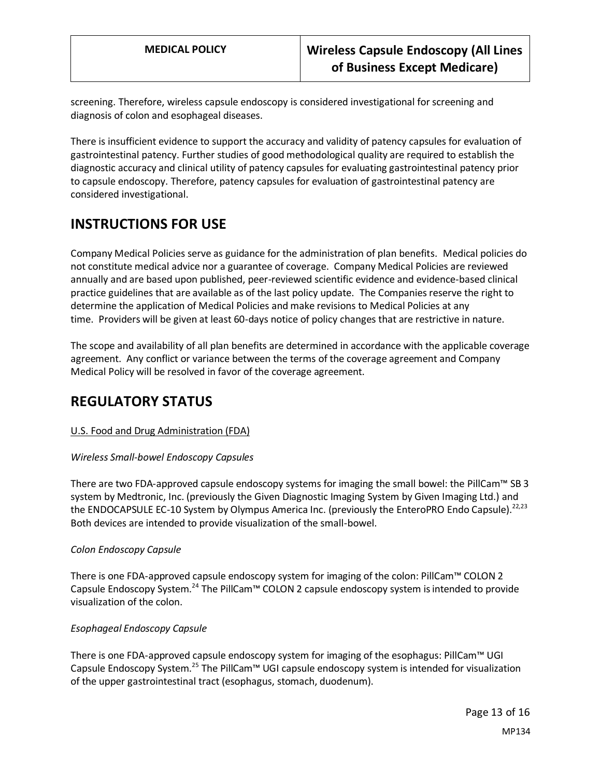screening. Therefore, wireless capsule endoscopy is considered investigational for screening and diagnosis of colon and esophageal diseases.

There is insufficient evidence to support the accuracy and validity of patency capsules for evaluation of gastrointestinal patency. Further studies of good methodological quality are required to establish the diagnostic accuracy and clinical utility of patency capsules for evaluating gastrointestinal patency prior to capsule endoscopy. Therefore, patency capsules for evaluation of gastrointestinal patency are considered investigational.

# **INSTRUCTIONS FOR USE**

Company Medical Policies serve as guidance for the administration of plan benefits. Medical policies do not constitute medical advice nor a guarantee of coverage. Company Medical Policies are reviewed annually and are based upon published, peer-reviewed scientific evidence and evidence-based clinical practice guidelines that are available as of the last policy update. The Companies reserve the right to determine the application of Medical Policies and make revisions to Medical Policies at any time. Providers will be given at least 60-days notice of policy changes that are restrictive in nature.

The scope and availability of all plan benefits are determined in accordance with the applicable coverage agreement. Any conflict or variance between the terms of the coverage agreement and Company Medical Policy will be resolved in favor of the coverage agreement.

## **REGULATORY STATUS**

#### U.S. Food and Drug Administration (FDA)

#### *Wireless Small-bowel Endoscopy Capsules*

There are two FDA-approved capsule endoscopy systems for imaging the small bowel: the PillCam™ SB 3 system by Medtronic, Inc. (previously the Given Diagnostic Imaging System by Given Imaging Ltd.) and the ENDOCAPSULE EC-10 System by Olympus America Inc. (previously the EnteroPRO Endo Capsule).<sup>22,23</sup> Both devices are intended to provide visualization of the small-bowel.

#### *Colon Endoscopy Capsule*

There is one FDA-approved capsule endoscopy system for imaging of the colon: PillCam™ COLON 2 Capsule Endoscopy System.<sup>24</sup> The PillCam<sup>™</sup> COLON 2 capsule endoscopy system is intended to provide visualization of the colon.

#### *Esophageal Endoscopy Capsule*

There is one FDA-approved capsule endoscopy system for imaging of the esophagus: PillCam™ UGI Capsule Endoscopy System.<sup>25</sup> The PillCam™ UGI capsule endoscopy system is intended for visualization of the upper gastrointestinal tract (esophagus, stomach, duodenum).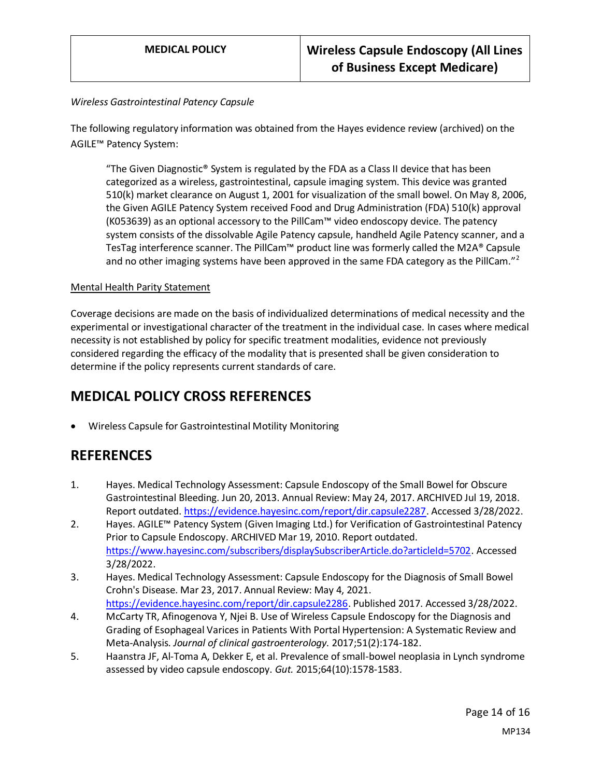#### *Wireless Gastrointestinal Patency Capsule*

The following regulatory information was obtained from the Hayes evidence review (archived) on the AGILE™ Patency System:

"The Given Diagnostic<sup>®</sup> System is regulated by the FDA as a Class II device that has been categorized as a wireless, gastrointestinal, capsule imaging system. This device was granted 510(k) market clearance on August 1, 2001 for visualization of the small bowel. On May 8, 2006, the Given AGILE Patency System received Food and Drug Administration (FDA) 510(k) approval (K053639) as an optional accessory to the PillCam™ video endoscopy device. The patency system consists of the dissolvable Agile Patency capsule, handheld Agile Patency scanner, and a TesTag interference scanner. The PillCam™ product line was formerly called the M2A® Capsule and no other imaging systems have been approved in the same FDA category as the PillCam."<sup>2</sup>

#### Mental Health Parity Statement

Coverage decisions are made on the basis of individualized determinations of medical necessity and the experimental or investigational character of the treatment in the individual case. In cases where medical necessity is not established by policy for specific treatment modalities, evidence not previously considered regarding the efficacy of the modality that is presented shall be given consideration to determine if the policy represents current standards of care.

## **MEDICAL POLICY CROSS REFERENCES**

• Wireless Capsule for Gastrointestinal Motility Monitoring

## **REFERENCES**

- 1. Hayes. Medical Technology Assessment: Capsule Endoscopy of the Small Bowel for Obscure Gastrointestinal Bleeding. Jun 20, 2013. Annual Review: May 24, 2017. ARCHIVED Jul 19, 2018. Report outdated[. https://evidence.hayesinc.com/report/dir.capsule2287.](https://evidence.hayesinc.com/report/dir.capsule2287) Accessed 3/28/2022.
- 2. Hayes. AGILE™ Patency System (Given Imaging Ltd.) for Verification of Gastrointestinal Patency Prior to Capsule Endoscopy. ARCHIVED Mar 19, 2010. Report outdated. [https://www.hayesinc.com/subscribers/displaySubscriberArticle.do?articleId=5702.](https://www.hayesinc.com/subscribers/displaySubscriberArticle.do?articleId=5702) Accessed 3/28/2022.
- 3. Hayes. Medical Technology Assessment: Capsule Endoscopy for the Diagnosis of Small Bowel Crohn's Disease. Mar 23, 2017. Annual Review: May 4, 2021. [https://evidence.hayesinc.com/report/dir.capsule2286.](https://evidence.hayesinc.com/report/dir.capsule2286) Published 2017. Accessed 3/28/2022.
- 4. McCarty TR, Afinogenova Y, Njei B. Use of Wireless Capsule Endoscopy for the Diagnosis and Grading of Esophageal Varices in Patients With Portal Hypertension: A Systematic Review and Meta-Analysis. *Journal of clinical gastroenterology.* 2017;51(2):174-182.
- 5. Haanstra JF, Al-Toma A, Dekker E, et al. Prevalence of small-bowel neoplasia in Lynch syndrome assessed by video capsule endoscopy. *Gut.* 2015;64(10):1578-1583.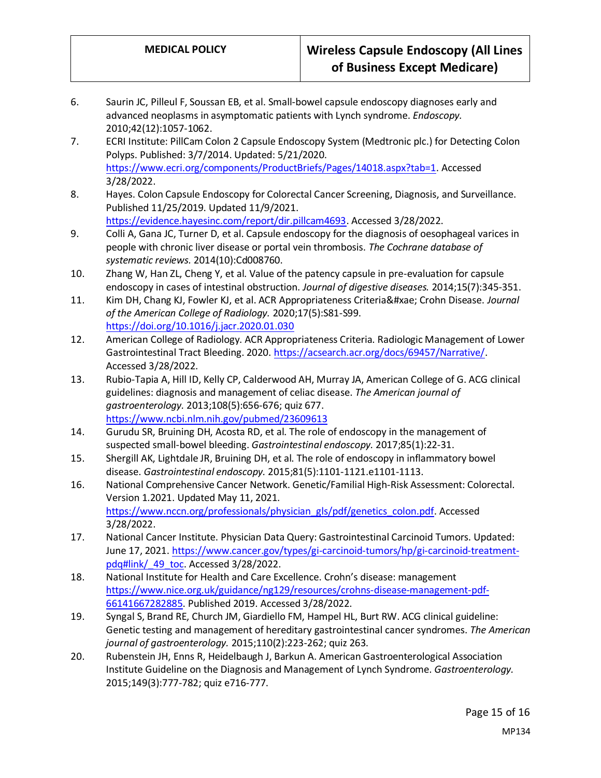- 6. Saurin JC, Pilleul F, Soussan EB, et al. Small-bowel capsule endoscopy diagnoses early and advanced neoplasms in asymptomatic patients with Lynch syndrome. *Endoscopy.*  2010;42(12):1057-1062.
- 7. ECRI Institute: PillCam Colon 2 Capsule Endoscopy System (Medtronic plc.) for Detecting Colon Polyps. Published: 3/7/2014. Updated: 5/21/2020. [https://www.ecri.org/components/ProductBriefs/Pages/14018.aspx?tab=1.](https://www.ecri.org/components/ProductBriefs/Pages/14018.aspx?tab=1) Accessed 3/28/2022.
- 8. Hayes. Colon Capsule Endoscopy for Colorectal Cancer Screening, Diagnosis, and Surveillance. Published 11/25/2019. Updated 11/9/2021. [https://evidence.hayesinc.com/report/dir.pillcam4693.](https://evidence.hayesinc.com/report/dir.pillcam4693) Accessed 3/28/2022.
- 9. Colli A, Gana JC, Turner D, et al. Capsule endoscopy for the diagnosis of oesophageal varices in people with chronic liver disease or portal vein thrombosis. *The Cochrane database of systematic reviews.* 2014(10):Cd008760.
- 10. Zhang W, Han ZL, Cheng Y, et al. Value of the patency capsule in pre-evaluation for capsule endoscopy in cases of intestinal obstruction. *Journal of digestive diseases.* 2014;15(7):345-351.
- 11. Kim DH, Chang KJ, Fowler KJ, et al. ACR Appropriateness Criteria® Crohn Disease. *Journal of the American College of Radiology.* 2020;17(5):S81-S99. <https://doi.org/10.1016/j.jacr.2020.01.030>
- 12. American College of Radiology. ACR Appropriateness Criteria. Radiologic Management of Lower Gastrointestinal Tract Bleeding. 2020[. https://acsearch.acr.org/docs/69457/Narrative/.](https://acsearch.acr.org/docs/69457/Narrative/) Accessed 3/28/2022.
- 13. Rubio-Tapia A, Hill ID, Kelly CP, Calderwood AH, Murray JA, American College of G. ACG clinical guidelines: diagnosis and management of celiac disease. *The American journal of gastroenterology.* 2013;108(5):656-676; quiz 677. <https://www.ncbi.nlm.nih.gov/pubmed/23609613>
- 14. Gurudu SR, Bruining DH, Acosta RD, et al. The role of endoscopy in the management of suspected small-bowel bleeding. *Gastrointestinal endoscopy.* 2017;85(1):22-31.
- 15. Shergill AK, Lightdale JR, Bruining DH, et al. The role of endoscopy in inflammatory bowel disease. *Gastrointestinal endoscopy.* 2015;81(5):1101-1121.e1101-1113.
- 16. National Comprehensive Cancer Network. Genetic/Familial High-Risk Assessment: Colorectal. Version 1.2021. Updated May 11, 2021. [https://www.nccn.org/professionals/physician\\_gls/pdf/genetics\\_colon.pdf.](https://www.nccn.org/professionals/physician_gls/pdf/genetics_colon.pdf) Accessed 3/28/2022.
- 17. National Cancer Institute. Physician Data Query: Gastrointestinal Carcinoid Tumors. Updated: June 17, 2021. [https://www.cancer.gov/types/gi-carcinoid-tumors/hp/gi-carcinoid-treatment](https://www.cancer.gov/types/gi-carcinoid-tumors/hp/gi-carcinoid-treatment-pdq#link/_49_toc)[pdq#link/\\_49\\_toc.](https://www.cancer.gov/types/gi-carcinoid-tumors/hp/gi-carcinoid-treatment-pdq#link/_49_toc) Accessed 3/28/2022.
- 18. National Institute for Health and Care Excellence. Crohn's disease: management [https://www.nice.org.uk/guidance/ng129/resources/crohns-disease-management-pdf-](https://www.nice.org.uk/guidance/ng129/resources/crohns-disease-management-pdf-66141667282885)[66141667282885.](https://www.nice.org.uk/guidance/ng129/resources/crohns-disease-management-pdf-66141667282885) Published 2019. Accessed 3/28/2022.
- 19. Syngal S, Brand RE, Church JM, Giardiello FM, Hampel HL, Burt RW. ACG clinical guideline: Genetic testing and management of hereditary gastrointestinal cancer syndromes. *The American journal of gastroenterology.* 2015;110(2):223-262; quiz 263.
- 20. Rubenstein JH, Enns R, Heidelbaugh J, Barkun A. American Gastroenterological Association Institute Guideline on the Diagnosis and Management of Lynch Syndrome. *Gastroenterology.*  2015;149(3):777-782; quiz e716-777.